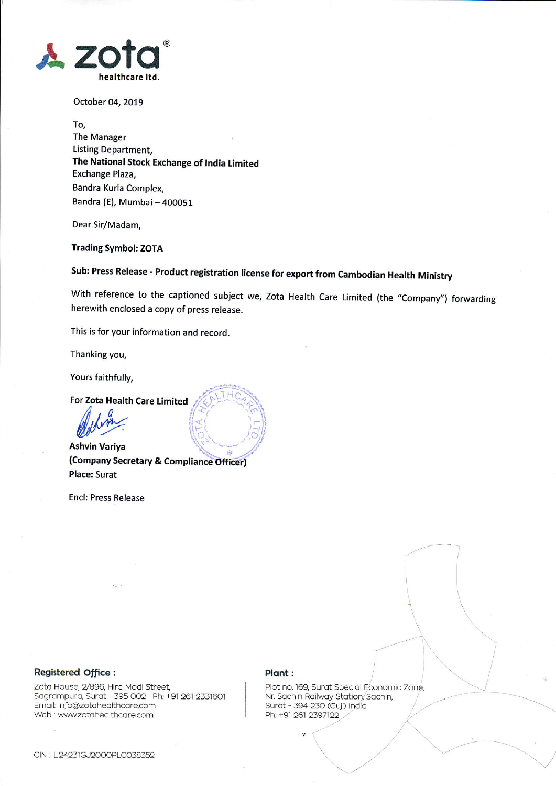

october 04, 2019

To, The Manager Listing Department, The National Stock Exchange of India Limited Exchange Plaza, Bandra Kurla Complex, Bandra (E), Mumbai - 400051

Dear Sir/Madam,

Trading Symbol: ZOTA

Sub: Press Release - Product registration license for export from Cambodian Health Ministry

With reference to the captioned subject we, Zota Health Care Limited (the "Company") forwarding herewith enclosed a copy of press release.

This is for your information and record.

Thanking you,

Yours faithfully,

For Zota Health Care Limited

il.//44

Ashvin Variya (Company Secretary & Compliance Officer) Place: Surat

Encl: Press Release

### Registered Office :

Zota House, 2/896, Hira Modi Street, Sagrampura, Surat - 395 002 | Ph: +91 261 2331601 Email: info@zotahealthcare.com Web : www.zotahealthcare.com

### Plant :

Plot no. 169, Surat Special Economic Zone, Nr. Sachin Railway Station, Sachin, Surat - 394 230 (Guj.) India<br>Ph: +91 261 2397122

\.